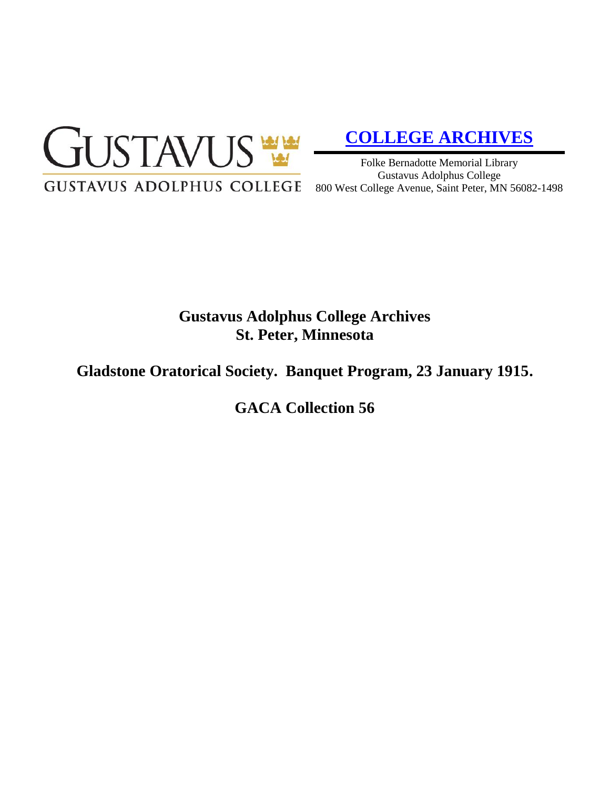

# **[COLLEGE ARCHIVES](http://gustavus.edu/academics/library/archives/)**

Folke Bernadotte Memorial Library Gustavus Adolphus College 800 West College Avenue, Saint Peter, MN 56082-1498

# **Gustavus Adolphus College Archives St. Peter, Minnesota**

# **Gladstone Oratorical Society. Banquet Program, 23 January 1915.**

**GACA Collection 56**